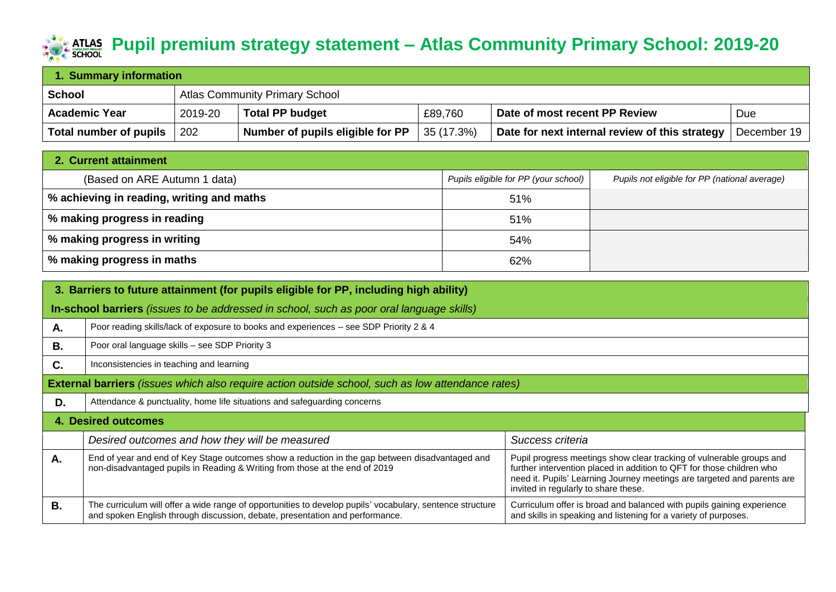## **Pupil premium strategy statement** – Atlas Community Primary School: 2019-20

| 1. Summary information |         |                                       |            |                                                |             |  |
|------------------------|---------|---------------------------------------|------------|------------------------------------------------|-------------|--|
| School                 |         | <b>Atlas Community Primary School</b> |            |                                                |             |  |
| <b>Academic Year</b>   | 2019-20 | <b>Total PP budget</b>                | £89,760    | Date of most recent PP Review                  | Due         |  |
| Total number of pupils | 202     | Number of pupils eligible for PP      | 35 (17.3%) | Date for next internal review of this strategy | December 19 |  |

| 2. Current attainment                     |                                      |                                               |
|-------------------------------------------|--------------------------------------|-----------------------------------------------|
| (Based on ARE Autumn 1 data)              | Pupils eligible for PP (your school) | Pupils not eligible for PP (national average) |
| % achieving in reading, writing and maths | 51%                                  |                                               |
| │ % making progress in reading            | 51%                                  |                                               |
| │ % making progress in writing            | 54%                                  |                                               |
| $^{\prime}$ % making progress in maths    | 62%                                  |                                               |

|           | 3. Barriers to future attainment (for pupils eligible for PP, including high ability)                                                                                                     |                                                                                                                                                                                                                                                                  |  |  |  |
|-----------|-------------------------------------------------------------------------------------------------------------------------------------------------------------------------------------------|------------------------------------------------------------------------------------------------------------------------------------------------------------------------------------------------------------------------------------------------------------------|--|--|--|
|           | In-school barriers (issues to be addressed in school, such as poor oral language skills)                                                                                                  |                                                                                                                                                                                                                                                                  |  |  |  |
| Α.        | Poor reading skills/lack of exposure to books and experiences – see SDP Priority 2 & 4                                                                                                    |                                                                                                                                                                                                                                                                  |  |  |  |
| В.        | Poor oral language skills - see SDP Priority 3                                                                                                                                            |                                                                                                                                                                                                                                                                  |  |  |  |
| C.        | Inconsistencies in teaching and learning                                                                                                                                                  |                                                                                                                                                                                                                                                                  |  |  |  |
|           | External barriers (issues which also require action outside school, such as low attendance rates)                                                                                         |                                                                                                                                                                                                                                                                  |  |  |  |
| D.        | Attendance & punctuality, home life situations and safeguarding concerns                                                                                                                  |                                                                                                                                                                                                                                                                  |  |  |  |
|           | <b>4. Desired outcomes</b>                                                                                                                                                                |                                                                                                                                                                                                                                                                  |  |  |  |
|           | Desired outcomes and how they will be measured                                                                                                                                            | Success criteria                                                                                                                                                                                                                                                 |  |  |  |
| А.        | End of year and end of Key Stage outcomes show a reduction in the gap between disadvantaged and<br>non-disadvantaged pupils in Reading & Writing from those at the end of 2019            | Pupil progress meetings show clear tracking of vulnerable groups and<br>further intervention placed in addition to QFT for those children who<br>need it. Pupils' Learning Journey meetings are targeted and parents are<br>invited in regularly to share these. |  |  |  |
| <b>B.</b> | The curriculum will offer a wide range of opportunities to develop pupils' vocabulary, sentence structure<br>and spoken English through discussion, debate, presentation and performance. | Curriculum offer is broad and balanced with pupils gaining experience<br>and skills in speaking and listening for a variety of purposes.                                                                                                                         |  |  |  |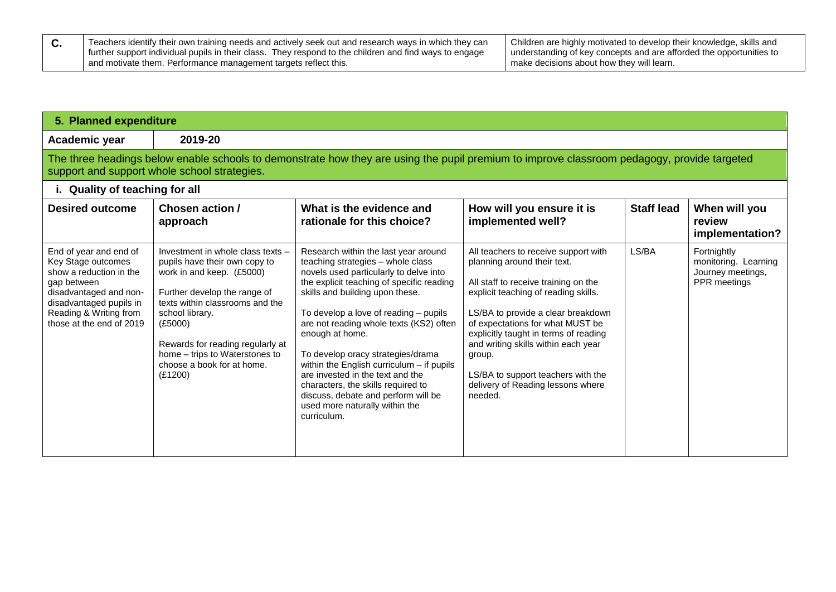| Teachers identify their own training needs and actively seek out and research ways in which they can     | Children are highly motivated to develop their knowledge, skills and |
|----------------------------------------------------------------------------------------------------------|----------------------------------------------------------------------|
| I further support individual pupils in their class. They respond to the children and find ways to engage | understanding of key concepts and are afforded the opportunities to  |
| and motivate them. Performance management targets reflect this.                                          | make decisions about how they will learn.                            |

| 5. Planned expenditure                                                                                                                                                                            |                                                                                                                                                                                                                                                                                                                 |                                                                                                                                                                                                                                                                                                                                                                                                                                                                                                                                                                  |                                                                                                                                                                                                                                                                                                                                                                                                               |                   |                                                                          |
|---------------------------------------------------------------------------------------------------------------------------------------------------------------------------------------------------|-----------------------------------------------------------------------------------------------------------------------------------------------------------------------------------------------------------------------------------------------------------------------------------------------------------------|------------------------------------------------------------------------------------------------------------------------------------------------------------------------------------------------------------------------------------------------------------------------------------------------------------------------------------------------------------------------------------------------------------------------------------------------------------------------------------------------------------------------------------------------------------------|---------------------------------------------------------------------------------------------------------------------------------------------------------------------------------------------------------------------------------------------------------------------------------------------------------------------------------------------------------------------------------------------------------------|-------------------|--------------------------------------------------------------------------|
| Academic year                                                                                                                                                                                     | 2019-20                                                                                                                                                                                                                                                                                                         |                                                                                                                                                                                                                                                                                                                                                                                                                                                                                                                                                                  |                                                                                                                                                                                                                                                                                                                                                                                                               |                   |                                                                          |
|                                                                                                                                                                                                   | support and support whole school strategies.                                                                                                                                                                                                                                                                    | The three headings below enable schools to demonstrate how they are using the pupil premium to improve classroom pedagogy, provide targeted                                                                                                                                                                                                                                                                                                                                                                                                                      |                                                                                                                                                                                                                                                                                                                                                                                                               |                   |                                                                          |
| i. Quality of teaching for all                                                                                                                                                                    |                                                                                                                                                                                                                                                                                                                 |                                                                                                                                                                                                                                                                                                                                                                                                                                                                                                                                                                  |                                                                                                                                                                                                                                                                                                                                                                                                               |                   |                                                                          |
| <b>Desired outcome</b>                                                                                                                                                                            | Chosen action /<br>approach                                                                                                                                                                                                                                                                                     | What is the evidence and<br>rationale for this choice?                                                                                                                                                                                                                                                                                                                                                                                                                                                                                                           | How will you ensure it is<br>implemented well?                                                                                                                                                                                                                                                                                                                                                                | <b>Staff lead</b> | When will you<br>review<br>implementation?                               |
| End of year and end of<br>Key Stage outcomes<br>show a reduction in the<br>gap between<br>disadvantaged and non-<br>disadvantaged pupils in<br>Reading & Writing from<br>those at the end of 2019 | Investment in whole class texts -<br>pupils have their own copy to<br>work in and keep. (£5000)<br>Further develop the range of<br>texts within classrooms and the<br>school library.<br>(E5000)<br>Rewards for reading regularly at<br>home – trips to Waterstones to<br>choose a book for at home.<br>(E1200) | Research within the last year around<br>teaching strategies - whole class<br>novels used particularly to delve into<br>the explicit teaching of specific reading<br>skills and building upon these.<br>To develop a love of reading - pupils<br>are not reading whole texts (KS2) often<br>enough at home.<br>To develop oracy strategies/drama<br>within the English curriculum $-$ if pupils<br>are invested in the text and the<br>characters, the skills required to<br>discuss, debate and perform will be<br>used more naturally within the<br>curriculum. | All teachers to receive support with<br>planning around their text.<br>All staff to receive training on the<br>explicit teaching of reading skills.<br>LS/BA to provide a clear breakdown<br>of expectations for what MUST be<br>explicitly taught in terms of reading<br>and writing skills within each year<br>group.<br>LS/BA to support teachers with the<br>delivery of Reading lessons where<br>needed. | LS/BA             | Fortnightly<br>monitoring. Learning<br>Journey meetings,<br>PPR meetings |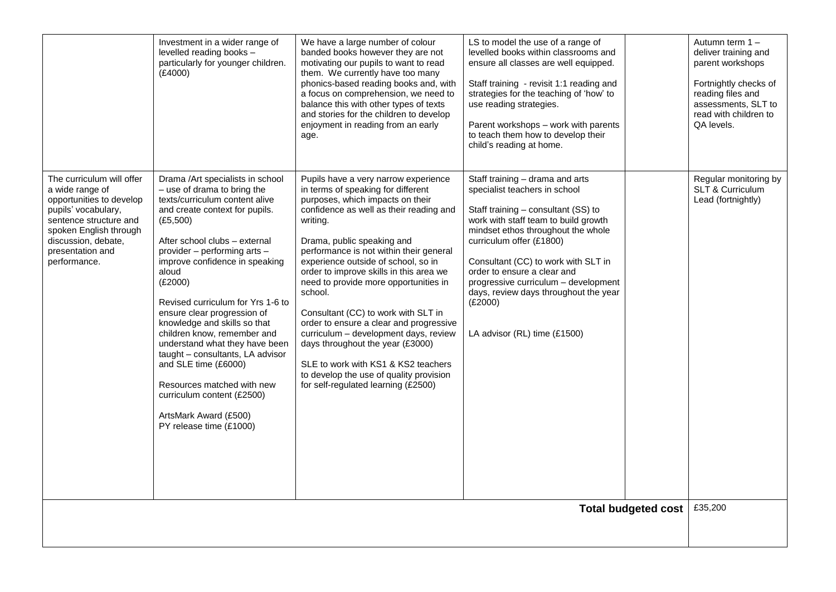|                                                                                                                                                                                                                | Investment in a wider range of<br>levelled reading books -<br>particularly for younger children.<br>(E4000)                                                                                                                                                                                                                                                                                                                                                                                                                                                                                                             | We have a large number of colour<br>banded books however they are not<br>motivating our pupils to want to read<br>them. We currently have too many<br>phonics-based reading books and, with<br>a focus on comprehension, we need to<br>balance this with other types of texts<br>and stories for the children to develop<br>enjoyment in reading from an early<br>age.                                                                                                                                                                                                                                                                                                       | LS to model the use of a range of<br>levelled books within classrooms and<br>ensure all classes are well equipped.<br>Staff training - revisit 1:1 reading and<br>strategies for the teaching of 'how' to<br>use reading strategies.<br>Parent workshops - work with parents<br>to teach them how to develop their<br>child's reading at home.                                                                      |                            | Autumn term 1-<br>deliver training and<br>parent workshops<br>Fortnightly checks of<br>reading files and<br>assessments, SLT to<br>read with children to<br>QA levels. |
|----------------------------------------------------------------------------------------------------------------------------------------------------------------------------------------------------------------|-------------------------------------------------------------------------------------------------------------------------------------------------------------------------------------------------------------------------------------------------------------------------------------------------------------------------------------------------------------------------------------------------------------------------------------------------------------------------------------------------------------------------------------------------------------------------------------------------------------------------|------------------------------------------------------------------------------------------------------------------------------------------------------------------------------------------------------------------------------------------------------------------------------------------------------------------------------------------------------------------------------------------------------------------------------------------------------------------------------------------------------------------------------------------------------------------------------------------------------------------------------------------------------------------------------|---------------------------------------------------------------------------------------------------------------------------------------------------------------------------------------------------------------------------------------------------------------------------------------------------------------------------------------------------------------------------------------------------------------------|----------------------------|------------------------------------------------------------------------------------------------------------------------------------------------------------------------|
| The curriculum will offer<br>a wide range of<br>opportunities to develop<br>pupils' vocabulary,<br>sentence structure and<br>spoken English through<br>discussion, debate,<br>presentation and<br>performance. | Drama /Art specialists in school<br>- use of drama to bring the<br>texts/curriculum content alive<br>and create context for pupils.<br>(E5,500)<br>After school clubs - external<br>provider - performing arts -<br>improve confidence in speaking<br>aloud<br>(E2000)<br>Revised curriculum for Yrs 1-6 to<br>ensure clear progression of<br>knowledge and skills so that<br>children know, remember and<br>understand what they have been<br>taught - consultants, LA advisor<br>and SLE time (£6000)<br>Resources matched with new<br>curriculum content (£2500)<br>ArtsMark Award (£500)<br>PY release time (£1000) | Pupils have a very narrow experience<br>in terms of speaking for different<br>purposes, which impacts on their<br>confidence as well as their reading and<br>writing.<br>Drama, public speaking and<br>performance is not within their general<br>experience outside of school, so in<br>order to improve skills in this area we<br>need to provide more opportunities in<br>school.<br>Consultant (CC) to work with SLT in<br>order to ensure a clear and progressive<br>curriculum - development days, review<br>days throughout the year (£3000)<br>SLE to work with KS1 & KS2 teachers<br>to develop the use of quality provision<br>for self-regulated learning (£2500) | Staff training - drama and arts<br>specialist teachers in school<br>Staff training - consultant (SS) to<br>work with staff team to build growth<br>mindset ethos throughout the whole<br>curriculum offer (£1800)<br>Consultant (CC) to work with SLT in<br>order to ensure a clear and<br>progressive curriculum - development<br>days, review days throughout the year<br>(E2000)<br>LA advisor (RL) time (£1500) |                            | Regular monitoring by<br>SLT & Curriculum<br>Lead (fortnightly)                                                                                                        |
|                                                                                                                                                                                                                |                                                                                                                                                                                                                                                                                                                                                                                                                                                                                                                                                                                                                         |                                                                                                                                                                                                                                                                                                                                                                                                                                                                                                                                                                                                                                                                              |                                                                                                                                                                                                                                                                                                                                                                                                                     | <b>Total budgeted cost</b> | £35,200                                                                                                                                                                |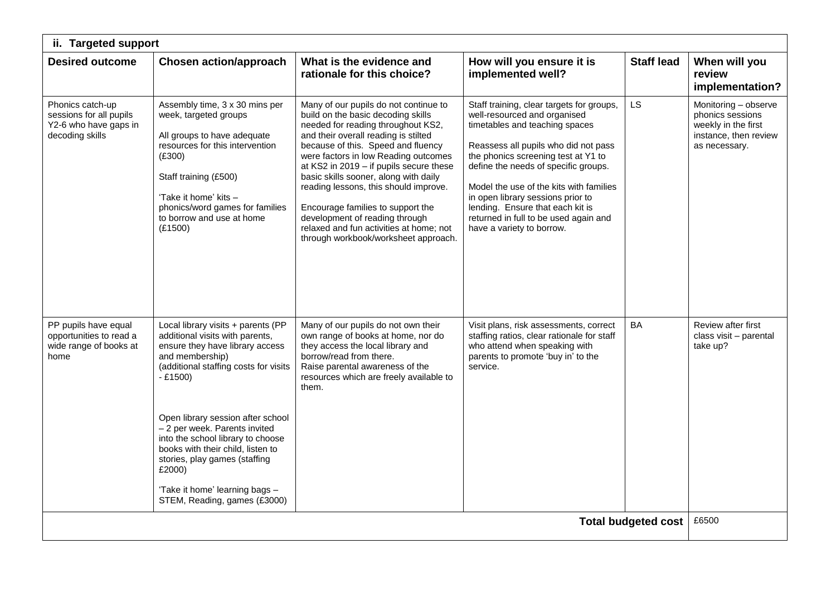| ii. Targeted support                                                                    |                                                                                                                                                                                                                                                                                                                                                                                                                                                |                                                                                                                                                                                                                                                                                                                                                                                                                                                                                                                                |                                                                                                                                                                                                                                                                                                                                                                                                                              |                            |                                                                                                           |  |  |
|-----------------------------------------------------------------------------------------|------------------------------------------------------------------------------------------------------------------------------------------------------------------------------------------------------------------------------------------------------------------------------------------------------------------------------------------------------------------------------------------------------------------------------------------------|--------------------------------------------------------------------------------------------------------------------------------------------------------------------------------------------------------------------------------------------------------------------------------------------------------------------------------------------------------------------------------------------------------------------------------------------------------------------------------------------------------------------------------|------------------------------------------------------------------------------------------------------------------------------------------------------------------------------------------------------------------------------------------------------------------------------------------------------------------------------------------------------------------------------------------------------------------------------|----------------------------|-----------------------------------------------------------------------------------------------------------|--|--|
| <b>Desired outcome</b>                                                                  | <b>Chosen action/approach</b>                                                                                                                                                                                                                                                                                                                                                                                                                  | What is the evidence and<br>rationale for this choice?                                                                                                                                                                                                                                                                                                                                                                                                                                                                         | How will you ensure it is<br>implemented well?                                                                                                                                                                                                                                                                                                                                                                               | <b>Staff lead</b>          | When will you<br>review<br>implementation?                                                                |  |  |
| Phonics catch-up<br>sessions for all pupils<br>Y2-6 who have gaps in<br>decoding skills | Assembly time, 3 x 30 mins per<br>week, targeted groups<br>All groups to have adequate<br>resources for this intervention<br>(E300)<br>Staff training (£500)<br>'Take it home' kits -<br>phonics/word games for families<br>to borrow and use at home<br>(E1500)                                                                                                                                                                               | Many of our pupils do not continue to<br>build on the basic decoding skills<br>needed for reading throughout KS2,<br>and their overall reading is stilted<br>because of this. Speed and fluency<br>were factors in low Reading outcomes<br>at KS2 in 2019 - if pupils secure these<br>basic skills sooner, along with daily<br>reading lessons, this should improve.<br>Encourage families to support the<br>development of reading through<br>relaxed and fun activities at home; not<br>through workbook/worksheet approach. | Staff training, clear targets for groups,<br>well-resourced and organised<br>timetables and teaching spaces<br>Reassess all pupils who did not pass<br>the phonics screening test at Y1 to<br>define the needs of specific groups.<br>Model the use of the kits with families<br>in open library sessions prior to<br>lending. Ensure that each kit is<br>returned in full to be used again and<br>have a variety to borrow. | LS                         | Monitoring - observe<br>phonics sessions<br>weekly in the first<br>instance, then review<br>as necessary. |  |  |
| PP pupils have equal<br>opportunities to read a<br>wide range of books at<br>home       | Local library visits + parents (PP<br>additional visits with parents,<br>ensure they have library access<br>and membership)<br>(additional staffing costs for visits<br>$-£1500)$<br>Open library session after school<br>- 2 per week. Parents invited<br>into the school library to choose<br>books with their child, listen to<br>stories, play games (staffing<br>£2000)<br>'Take it home' learning bags -<br>STEM, Reading, games (£3000) | Many of our pupils do not own their<br>own range of books at home, nor do<br>they access the local library and<br>borrow/read from there.<br>Raise parental awareness of the<br>resources which are freely available to<br>them.                                                                                                                                                                                                                                                                                               | Visit plans, risk assessments, correct<br>staffing ratios, clear rationale for staff<br>who attend when speaking with<br>parents to promote 'buy in' to the<br>service.                                                                                                                                                                                                                                                      | <b>BA</b>                  | Review after first<br>class visit - parental<br>take up?                                                  |  |  |
|                                                                                         |                                                                                                                                                                                                                                                                                                                                                                                                                                                |                                                                                                                                                                                                                                                                                                                                                                                                                                                                                                                                |                                                                                                                                                                                                                                                                                                                                                                                                                              | <b>Total budgeted cost</b> | £6500                                                                                                     |  |  |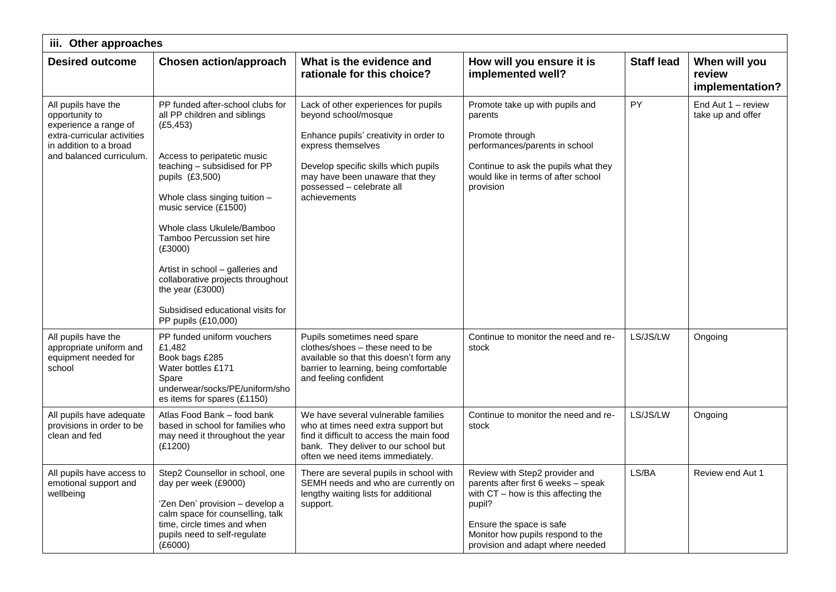| iii. Other approaches                                                                                                                               |                                                                                                                                                                                                                                                                                                                                                                                                                                                           |                                                                                                                                                                                                                                                      |                                                                                                                                                                                                                               |                   |                                            |  |
|-----------------------------------------------------------------------------------------------------------------------------------------------------|-----------------------------------------------------------------------------------------------------------------------------------------------------------------------------------------------------------------------------------------------------------------------------------------------------------------------------------------------------------------------------------------------------------------------------------------------------------|------------------------------------------------------------------------------------------------------------------------------------------------------------------------------------------------------------------------------------------------------|-------------------------------------------------------------------------------------------------------------------------------------------------------------------------------------------------------------------------------|-------------------|--------------------------------------------|--|
| <b>Desired outcome</b>                                                                                                                              | <b>Chosen action/approach</b>                                                                                                                                                                                                                                                                                                                                                                                                                             | What is the evidence and<br>rationale for this choice?                                                                                                                                                                                               | How will you ensure it is<br>implemented well?                                                                                                                                                                                | <b>Staff lead</b> | When will you<br>review<br>implementation? |  |
| All pupils have the<br>opportunity to<br>experience a range of<br>extra-curricular activities<br>in addition to a broad<br>and balanced curriculum. | PP funded after-school clubs for<br>all PP children and siblings<br>(E5, 453)<br>Access to peripatetic music<br>teaching - subsidised for PP<br>pupils (£3,500)<br>Whole class singing tuition -<br>music service (£1500)<br>Whole class Ukulele/Bamboo<br>Tamboo Percussion set hire<br>(E3000)<br>Artist in school - galleries and<br>collaborative projects throughout<br>the year (£3000)<br>Subsidised educational visits for<br>PP pupils (£10,000) | Lack of other experiences for pupils<br>beyond school/mosque<br>Enhance pupils' creativity in order to<br>express themselves<br>Develop specific skills which pupils<br>may have been unaware that they<br>possessed - celebrate all<br>achievements | Promote take up with pupils and<br>parents<br>Promote through<br>performances/parents in school<br>Continue to ask the pupils what they<br>would like in terms of after school<br>provision                                   | PY                | End Aut $1 -$ review<br>take up and offer  |  |
| All pupils have the<br>appropriate uniform and<br>equipment needed for<br>school                                                                    | PP funded uniform vouchers<br>£1,482<br>Book bags £285<br>Water bottles £171<br>Spare<br>underwear/socks/PE/uniform/sho<br>es items for spares (£1150)                                                                                                                                                                                                                                                                                                    | Pupils sometimes need spare<br>clothes/shoes - these need to be<br>available so that this doesn't form any<br>barrier to learning, being comfortable<br>and feeling confident                                                                        | Continue to monitor the need and re-<br>stock                                                                                                                                                                                 | LS/JS/LW          | Ongoing                                    |  |
| All pupils have adequate<br>provisions in order to be<br>clean and fed                                                                              | Atlas Food Bank - food bank<br>based in school for families who<br>may need it throughout the year<br>(E1200)                                                                                                                                                                                                                                                                                                                                             | We have several vulnerable families<br>who at times need extra support but<br>find it difficult to access the main food<br>bank. They deliver to our school but<br>often we need items immediately.                                                  | Continue to monitor the need and re-<br>stock                                                                                                                                                                                 | LS/JS/LW          | Ongoing                                    |  |
| All pupils have access to<br>emotional support and<br>wellbeing                                                                                     | Step2 Counsellor in school, one<br>day per week (£9000)<br>'Zen Den' provision - develop a<br>calm space for counselling, talk<br>time, circle times and when<br>pupils need to self-regulate<br>(E6000)                                                                                                                                                                                                                                                  | There are several pupils in school with<br>SEMH needs and who are currently on<br>lengthy waiting lists for additional<br>support.                                                                                                                   | Review with Step2 provider and<br>parents after first 6 weeks - speak<br>with $CT - how$ is this affecting the<br>pupil?<br>Ensure the space is safe<br>Monitor how pupils respond to the<br>provision and adapt where needed | LS/BA             | Review end Aut 1                           |  |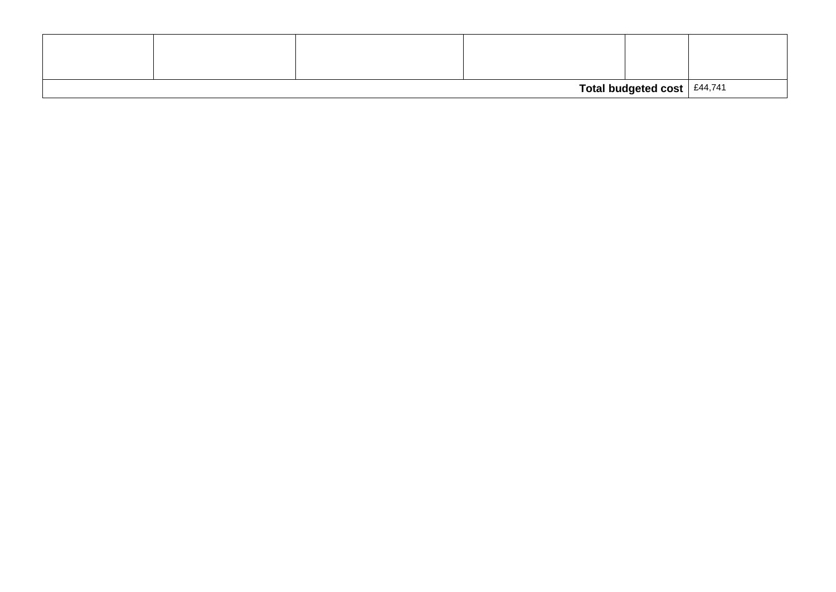| Total budgeted cost $ $ £44,741 |  |  |  |  |  |
|---------------------------------|--|--|--|--|--|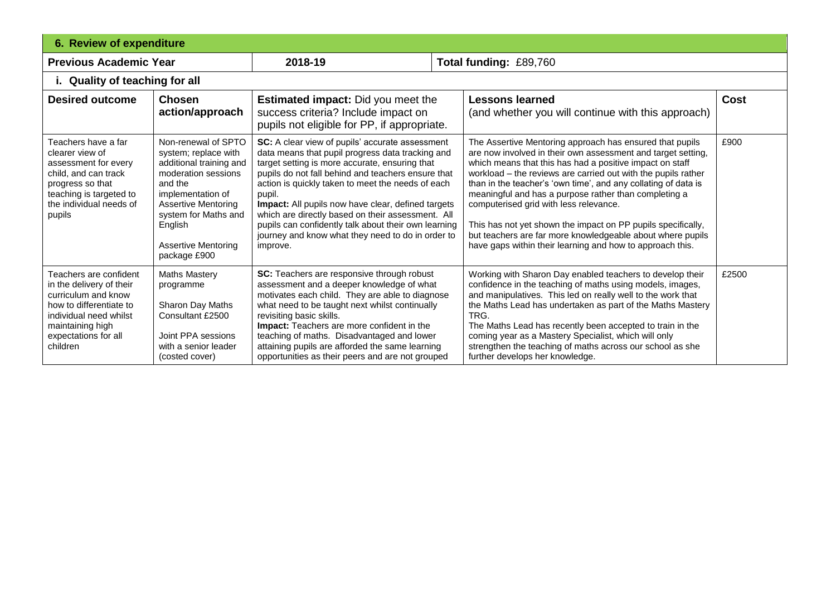| <b>6. Review of expenditure</b>                                                                                                                                                        |                                                                                                                                                                                                                                              |                                                                                                                                                                                                                                                                                                                                                                                                                                                                                                                |  |                                                                                                                                                                                                                                                                                                                                                                                                                                                                                                                                                                                                                       |       |
|----------------------------------------------------------------------------------------------------------------------------------------------------------------------------------------|----------------------------------------------------------------------------------------------------------------------------------------------------------------------------------------------------------------------------------------------|----------------------------------------------------------------------------------------------------------------------------------------------------------------------------------------------------------------------------------------------------------------------------------------------------------------------------------------------------------------------------------------------------------------------------------------------------------------------------------------------------------------|--|-----------------------------------------------------------------------------------------------------------------------------------------------------------------------------------------------------------------------------------------------------------------------------------------------------------------------------------------------------------------------------------------------------------------------------------------------------------------------------------------------------------------------------------------------------------------------------------------------------------------------|-------|
| <b>Previous Academic Year</b>                                                                                                                                                          |                                                                                                                                                                                                                                              | 2018-19                                                                                                                                                                                                                                                                                                                                                                                                                                                                                                        |  | Total funding: £89,760                                                                                                                                                                                                                                                                                                                                                                                                                                                                                                                                                                                                |       |
| i. Quality of teaching for all                                                                                                                                                         |                                                                                                                                                                                                                                              |                                                                                                                                                                                                                                                                                                                                                                                                                                                                                                                |  |                                                                                                                                                                                                                                                                                                                                                                                                                                                                                                                                                                                                                       |       |
| <b>Desired outcome</b>                                                                                                                                                                 | <b>Chosen</b><br>action/approach                                                                                                                                                                                                             | <b>Estimated impact:</b> Did you meet the<br>success criteria? Include impact on<br>pupils not eligible for PP, if appropriate.                                                                                                                                                                                                                                                                                                                                                                                |  | <b>Lessons learned</b><br>(and whether you will continue with this approach)                                                                                                                                                                                                                                                                                                                                                                                                                                                                                                                                          | Cost  |
| Teachers have a far<br>clearer view of<br>assessment for every<br>child, and can track<br>progress so that<br>teaching is targeted to<br>the individual needs of<br>pupils             | Non-renewal of SPTO<br>system; replace with<br>additional training and<br>moderation sessions<br>and the<br>implementation of<br><b>Assertive Mentoring</b><br>system for Maths and<br>English<br><b>Assertive Mentoring</b><br>package £900 | SC: A clear view of pupils' accurate assessment<br>data means that pupil progress data tracking and<br>target setting is more accurate, ensuring that<br>pupils do not fall behind and teachers ensure that<br>action is quickly taken to meet the needs of each<br>pupil.<br>Impact: All pupils now have clear, defined targets<br>which are directly based on their assessment. All<br>pupils can confidently talk about their own learning<br>journey and know what they need to do in order to<br>improve. |  | The Assertive Mentoring approach has ensured that pupils<br>are now involved in their own assessment and target setting,<br>which means that this has had a positive impact on staff<br>workload - the reviews are carried out with the pupils rather<br>than in the teacher's 'own time', and any collating of data is<br>meaningful and has a purpose rather than completing a<br>computerised grid with less relevance.<br>This has not yet shown the impact on PP pupils specifically,<br>but teachers are far more knowledgeable about where pupils<br>have gaps within their learning and how to approach this. | £900  |
| Teachers are confident<br>in the delivery of their<br>curriculum and know<br>how to differentiate to<br>individual need whilst<br>maintaining high<br>expectations for all<br>children | <b>Maths Mastery</b><br>programme<br>Sharon Day Maths<br>Consultant £2500<br>Joint PPA sessions<br>with a senior leader<br>(costed cover)                                                                                                    | SC: Teachers are responsive through robust<br>assessment and a deeper knowledge of what<br>motivates each child. They are able to diagnose<br>what need to be taught next whilst continually<br>revisiting basic skills.<br>Impact: Teachers are more confident in the<br>teaching of maths. Disadvantaged and lower<br>attaining pupils are afforded the same learning<br>opportunities as their peers and are not grouped                                                                                    |  | Working with Sharon Day enabled teachers to develop their<br>confidence in the teaching of maths using models, images,<br>and manipulatives. This led on really well to the work that<br>the Maths Lead has undertaken as part of the Maths Mastery<br>TRG.<br>The Maths Lead has recently been accepted to train in the<br>coming year as a Mastery Specialist, which will only<br>strengthen the teaching of maths across our school as she<br>further develops her knowledge.                                                                                                                                      | £2500 |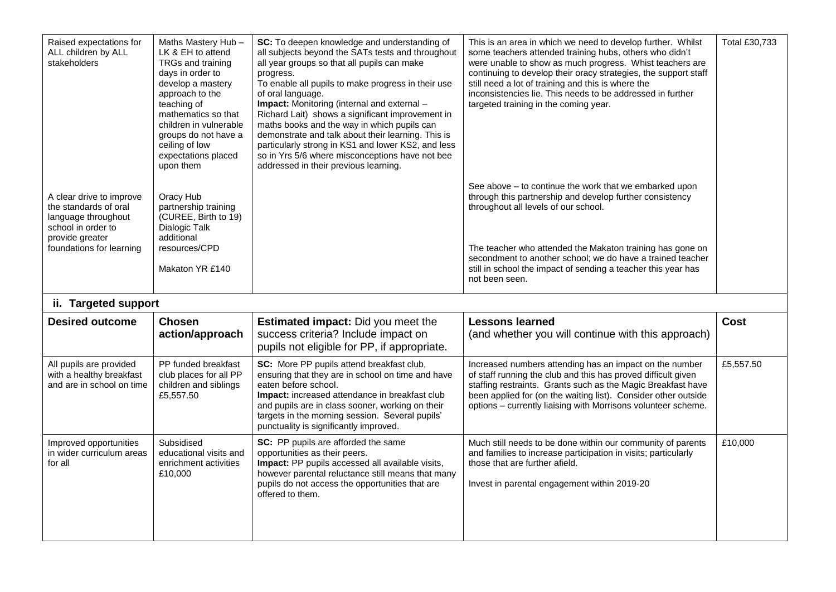| Raised expectations for<br>ALL children by ALL<br>stakeholders                                                                                | Maths Mastery Hub-<br>LK & EH to attend<br>TRGs and training<br>days in order to<br>develop a mastery<br>approach to the<br>teaching of<br>mathematics so that<br>children in vulnerable<br>groups do not have a<br>ceiling of low<br>expectations placed<br>upon them | SC: To deepen knowledge and understanding of<br>all subjects beyond the SATs tests and throughout<br>all year groups so that all pupils can make<br>progress.<br>To enable all pupils to make progress in their use<br>of oral language.<br>Impact: Monitoring (internal and external -<br>Richard Lait) shows a significant improvement in<br>maths books and the way in which pupils can<br>demonstrate and talk about their learning. This is<br>particularly strong in KS1 and lower KS2, and less<br>so in Yrs 5/6 where misconceptions have not bee<br>addressed in their previous learning. | This is an area in which we need to develop further. Whilst<br>some teachers attended training hubs, others who didn't<br>were unable to show as much progress. Whist teachers are<br>continuing to develop their oracy strategies, the support staff<br>still need a lot of training and this is where the<br>inconsistencies lie. This needs to be addressed in further<br>targeted training in the coming year. | Total £30,733 |
|-----------------------------------------------------------------------------------------------------------------------------------------------|------------------------------------------------------------------------------------------------------------------------------------------------------------------------------------------------------------------------------------------------------------------------|----------------------------------------------------------------------------------------------------------------------------------------------------------------------------------------------------------------------------------------------------------------------------------------------------------------------------------------------------------------------------------------------------------------------------------------------------------------------------------------------------------------------------------------------------------------------------------------------------|--------------------------------------------------------------------------------------------------------------------------------------------------------------------------------------------------------------------------------------------------------------------------------------------------------------------------------------------------------------------------------------------------------------------|---------------|
| A clear drive to improve<br>the standards of oral<br>language throughout<br>school in order to<br>provide greater<br>foundations for learning | Oracy Hub<br>partnership training<br>(CUREE, Birth to 19)<br>Dialogic Talk<br>additional<br>resources/CPD<br>Makaton YR £140                                                                                                                                           |                                                                                                                                                                                                                                                                                                                                                                                                                                                                                                                                                                                                    | See above – to continue the work that we embarked upon<br>through this partnership and develop further consistency<br>throughout all levels of our school.<br>The teacher who attended the Makaton training has gone on<br>secondment to another school; we do have a trained teacher<br>still in school the impact of sending a teacher this year has<br>not been seen.                                           |               |
| ii. Targeted support                                                                                                                          |                                                                                                                                                                                                                                                                        |                                                                                                                                                                                                                                                                                                                                                                                                                                                                                                                                                                                                    |                                                                                                                                                                                                                                                                                                                                                                                                                    |               |
| <b>Desired outcome</b>                                                                                                                        | <b>Chosen</b><br>action/approach                                                                                                                                                                                                                                       | <b>Estimated impact:</b> Did you meet the<br>success criteria? Include impact on<br>pupils not eligible for PP, if appropriate.                                                                                                                                                                                                                                                                                                                                                                                                                                                                    | <b>Lessons learned</b><br>(and whether you will continue with this approach)                                                                                                                                                                                                                                                                                                                                       | <b>Cost</b>   |
| All pupils are provided<br>with a healthy breakfast<br>and are in school on time                                                              | PP funded breakfast<br>club places for all PP<br>children and siblings<br>£5,557.50                                                                                                                                                                                    | SC: More PP pupils attend breakfast club,<br>ensuring that they are in school on time and have<br>eaten before school.<br>Impact: increased attendance in breakfast club<br>and pupils are in class sooner, working on their<br>targets in the morning session. Several pupils'<br>punctuality is significantly improved.                                                                                                                                                                                                                                                                          | Increased numbers attending has an impact on the number<br>of staff running the club and this has proved difficult given<br>staffing restraints. Grants such as the Magic Breakfast have<br>been applied for (on the waiting list). Consider other outside<br>options - currently liaising with Morrisons volunteer scheme.                                                                                        | £5,557.50     |
| Improved opportunities<br>in wider curriculum areas<br>for all                                                                                | Subsidised<br>educational visits and<br>enrichment activities<br>£10,000                                                                                                                                                                                               | SC: PP pupils are afforded the same<br>opportunities as their peers.<br>Impact: PP pupils accessed all available visits,<br>however parental reluctance still means that many<br>pupils do not access the opportunities that are<br>offered to them.                                                                                                                                                                                                                                                                                                                                               | Much still needs to be done within our community of parents<br>and families to increase participation in visits; particularly<br>those that are further afield.<br>Invest in parental engagement within 2019-20                                                                                                                                                                                                    | £10,000       |